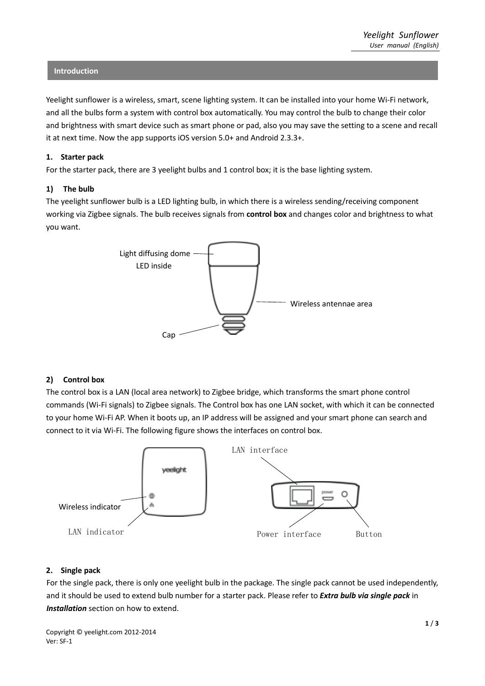#### **Introduction**

Yeelight sunflower is a wireless, smart, scene lighting system. It can be installed into your home Wi-Fi network, and all the bulbs form a system with control box automatically. You may control the bulb to change their color and brightness with smart device such as smart phone or pad, also you may save the setting to a scene and recall it at next time. Now the app supports iOS version 5.0+ and Android 2.3.3+.

#### **1. Starter pack**

For the starter pack, there are 3 yeelight bulbs and 1 control box; it is the base lighting system.

#### **1) The bulb**

The yeelight sunflower bulb is a LED lighting bulb, in which there is a wireless sending/receiving component working via Zigbee signals. The bulb receives signals from **control box** and changes color and brightness to what you want.



### **2) Control box**

The control box is a LAN (local area network) to Zigbee bridge, which transforms the smart phone control commands (Wi-Fi signals) to Zigbee signals. The Control box has one LAN socket, with which it can be connected to your home Wi-Fi AP. When it boots up, an IP address will be assigned and your smart phone can search and connect to it via Wi-Fi. The following figure shows the interfaces on control box.



### **2. Single pack**

For the single pack, there is only one yeelight bulb in the package. The single pack cannot be used independently, and it should be used to extend bulb number for a starter pack. Please refer to *Extra bulb via single pack* in *Installation* section on how to extend.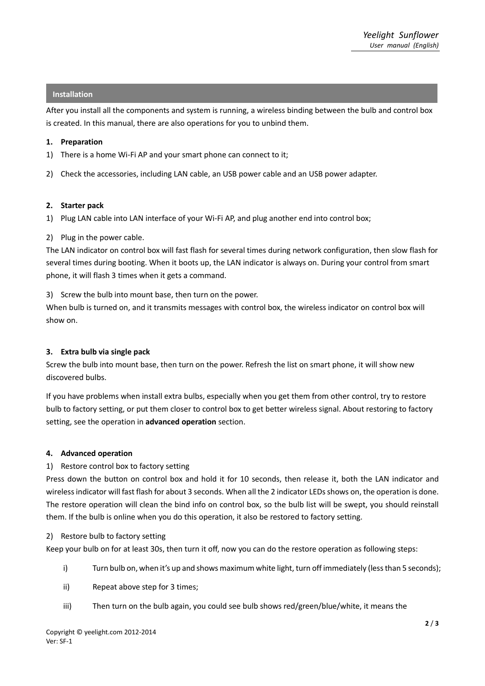# **Installation**

After you install all the components and system is running, a wireless binding between the bulb and control box is created. In this manual, there are also operations for you to unbind them.

### **1. Preparation**

- 1) There is a home Wi-Fi AP and your smart phone can connect to it;
- 2) Check the accessories, including LAN cable, an USB power cable and an USB power adapter.

# **2. Starter pack**

1) Plug LAN cable into LAN interface of your Wi-Fi AP, and plug another end into control box;

# 2) Plug in the power cable.

The LAN indicator on control box will fast flash for several times during network configuration, then slow flash for several times during booting. When it boots up, the LAN indicator is always on. During your control from smart phone, it will flash 3 times when it gets a command.

3) Screw the bulb into mount base, then turn on the power.

When bulb is turned on, and it transmits messages with control box, the wireless indicator on control box will show on.

### **3. Extra bulb via single pack**

Screw the bulb into mount base, then turn on the power. Refresh the list on smart phone, it will show new discovered bulbs.

If you have problems when install extra bulbs, especially when you get them from other control, try to restore bulb to factory setting, or put them closer to control box to get better wireless signal. About restoring to factory setting, see the operation in **advanced operation** section.

### **4. Advanced operation**

# 1) Restore control box to factory setting

Press down the button on control box and hold it for 10 seconds, then release it, both the LAN indicator and wireless indicator will fast flash for about 3 seconds. When all the 2 indicator LEDs shows on, the operation is done. The restore operation will clean the bind info on control box, so the bulb list will be swept, you should reinstall them. If the bulb is online when you do this operation, it also be restored to factory setting.

### 2) Restore bulb to factory setting

Keep your bulb on for at least 30s, then turn it off, now you can do the restore operation as following steps:

- i) Turn bulb on, when it's up and shows maximum white light, turn off immediately (less than 5 seconds);
- ii) Repeat above step for 3 times;
- iii) Then turn on the bulb again, you could see bulb shows red/green/blue/white, it means the